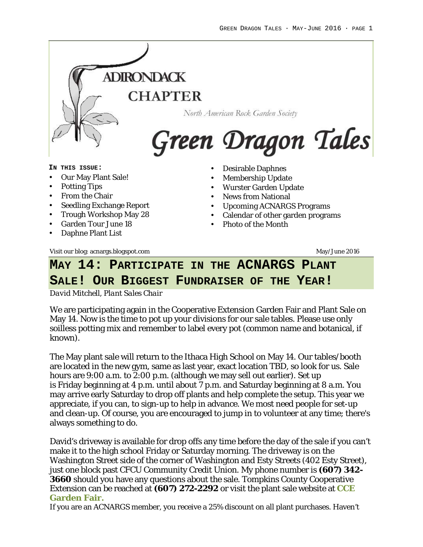

**SALE! OUR BIGGEST FUNDRAISER OF THE YEAR!**

*David Mitchell, Plant Sales Chair*

We are participating again in the Cooperative Extension Garden Fair and Plant Sale on May 14. Now is the time to pot up your divisions for our sale tables. Please use only soilless potting mix and remember to label every pot (common name and botanical, if known).

The May plant sale will return to the Ithaca High School on May 14. Our tables/booth are located in the new gym, same as last year, exact location TBD, so look for us. Sale hours are 9:00 a.m. to 2:00 p.m. (although we may sell out earlier). Set up is Friday beginning at 4 p.m. until about 7 p.m. and Saturday beginning at 8 a.m. You may arrive early Saturday to drop off plants and help complete the setup. This year we appreciate, if you can, to sign-up to help in advance. We most need people for set-up and clean-up. Of course, you are encouraged to jump in to volunteer at any time; there's always something to do.

David's driveway is available for drop offs any time before the day of the sale if you can't make it to the high school Friday or Saturday morning. The driveway is on the Washington Street side of the corner of Washington and Esty Streets (402 Esty Street), just one block past CFCU Community Credit Union. My phone number is **(607) 342- 3660** should you have any questions about the sale. Tompkins County Cooperative Extension can be reached at **(607) 272-2292** or visit the plant sale website at **CCE Garden Fair.**

If you are an ACNARGS member, you receive a 25% discount on all plant purchases. Haven't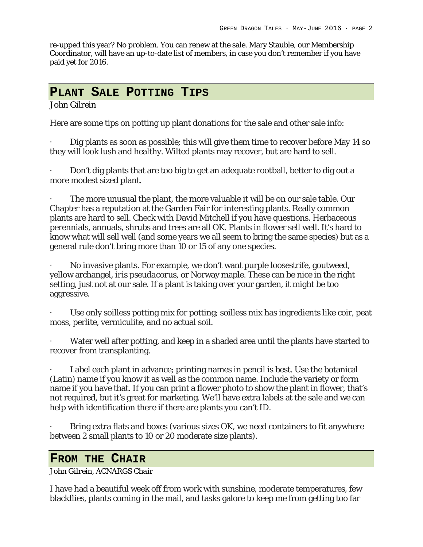re-upped this year? No problem. You can renew at the sale. Mary Stauble, our Membership Coordinator, will have an up-to-date list of members, in case you don't remember if you have paid yet for 2016.

#### **PLANT SALE POTTING TIPS**

#### *John Gilrein*

Here are some tips on potting up plant donations for the sale and other sale info:

Dig plants as soon as possible; this will give them time to recover before May 14 so they will look lush and healthy. Wilted plants may recover, but are hard to sell.

· Don't dig plants that are too big to get an adequate rootball, better to dig out a more modest sized plant.

The more unusual the plant, the more valuable it will be on our sale table. Our Chapter has a reputation at the Garden Fair for interesting plants. Really common plants are hard to sell. Check with David Mitchell if you have questions. Herbaceous perennials, annuals, shrubs and trees are all OK. Plants in flower sell well. It's hard to know what will sell well (and some years we all seem to bring the same species) but as a general rule don't bring more than 10 or 15 of any one species.

· No invasive plants. For example, we don't want purple loosestrife, goutweed, yellow archangel, *iris pseudacorus*, or Norway maple. These can be nice in the right setting, just not at our sale. If a plant is taking over your garden, it might be too aggressive.

Use only soilless potting mix for potting; soilless mix has ingredients like coir, peat moss, perlite, vermiculite, and no actual soil.

Water well after potting, and keep in a shaded area until the plants have started to recover from transplanting.

Label each plant in advance; printing names in pencil is best. Use the botanical (Latin) name if you know it as well as the common name. Include the variety or form name if you have that. If you can print a flower photo to show the plant in flower, that's not required, but it's great for marketing. We'll have extra labels at the sale and we can help with identification there if there are plants you can't ID.

Bring extra flats and boxes (various sizes OK, we need containers to fit anywhere between 2 small plants to 10 or 20 moderate size plants).

## **FROM THE CHAIR**

*John Gilrein, ACNARGS Chair*

I have had a beautiful week off from work with sunshine, moderate temperatures, few blackflies, plants coming in the mail, and tasks galore to keep me from getting too far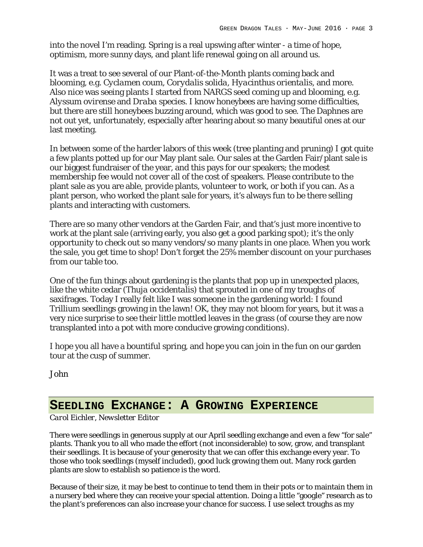into the novel I'm reading. Spring is a real upswing after winter - a time of hope, optimism, more sunny days, and plant life renewal going on all around us.

It was a treat to see several of our Plant-of-the-Month plants coming back and blooming, e.g. *Cyclamen coum, Corydalis solida, Hyacinthus orientalis*, and more. Also nice was seeing plants I started from NARGS seed coming up and blooming, e.g. *Alyssum ovirense* and *Draba* species. I know honeybees are having some difficulties, but there are still honeybees buzzing around, which was good to see. The Daphnes are not out yet, unfortunately, especially after hearing about so many beautiful ones at our last meeting.

In between some of the harder labors of this week (tree planting and pruning) I got quite a few plants potted up for our May plant sale. Our sales at the Garden Fair/plant sale is our biggest fundraiser of the year, and this pays for our speakers; the modest membership fee would not cover all of the cost of speakers. Please contribute to the plant sale as you are able, provide plants, volunteer to work, or both if you can. As a plant person, who worked the plant sale for years, it's always fun to be there selling plants and interacting with customers.

There are so many other vendors at the Garden Fair, and that's just more incentive to work at the plant sale (arriving early, you also get a good parking spot); it's the only opportunity to check out so many vendors/so many plants in one place. When you work the sale, you get time to shop! Don't forget the 25% member discount on your purchases from our table too.

One of the fun things about gardening is the plants that pop up in unexpected places, like the white cedar (*Thuja occidentalis*) that sprouted in one of my troughs of saxifrages. Today I really felt like I was someone in the gardening world: I found Trillium seedlings growing in the lawn! OK, they may not bloom for years, but it was a very nice surprise to see their little mottled leaves in the grass (of course they are now transplanted into a pot with more conducive growing conditions).

I hope you all have a bountiful spring, and hope you can join in the fun on our garden tour at the cusp of summer.

John

#### **SEEDLING EXCHANGE: A GROWING EXPERIENCE**

*Carol Eichler, Newsletter Editor*

There were seedlings in generous supply at our April seedling exchange and even a few "for sale" plants. Thank you to all who made the effort (not inconsiderable) to sow, grow, and transplant their seedlings. It is because of your generosity that we can offer this exchange every year. To those who took seedlings (myself included), good luck growing them out. Many rock garden plants are slow to establish so patience is the word.

Because of their size, it may be best to continue to tend them in their pots or to maintain them in a nursery bed where they can receive your special attention. Doing a little "google" research as to the plant's preferences can also increase your chance for success. I use select troughs as my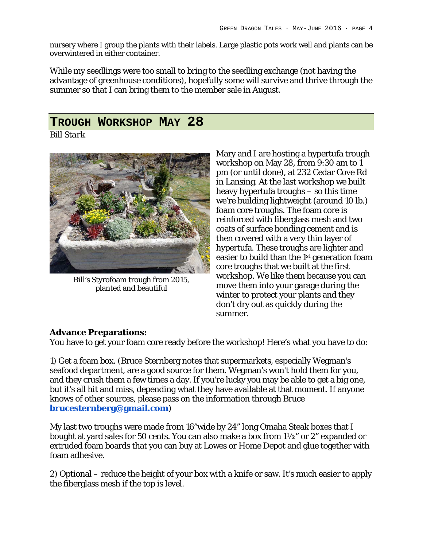nursery where I group the plants with their labels. Large plastic pots work well and plants can be overwintered in either container.

While my seedlings were too small to bring to the seedling exchange (not having the advantage of greenhouse conditions), hopefully some will survive and thrive through the summer so that I can bring them to the member sale in August.

## **TROUGH WORKSHOP MAY 28**

*Bill Stark*



Bill's Styrofoam trough from 2015, planted and beautiful

Mary and I are hosting a hypertufa trough workshop on May 28, from 9:30 am to 1 pm (or until done), at 232 Cedar Cove Rd in Lansing. At the last workshop we built heavy hypertufa troughs – so this time we're building lightweight (around 10 lb.) foam core troughs. The foam core is reinforced with fiberglass mesh and two coats of surface bonding cement and is then covered with a very thin layer of hypertufa. These troughs are lighter and easier to build than the 1st generation foam core troughs that we built at the first workshop. We like them because you can move them into your garage during the winter to protect your plants and they don't dry out as quickly during the summer.

#### **Advance Preparations:**

You have to get your foam core ready before the workshop! Here's what you have to do:

1) Get a foam box. (Bruce Sternberg notes that supermarkets, especially Wegman's seafood department, are a good source for them. Wegman's won't hold them for you, and they crush them a few times a day. If you're lucky you may be able to get a big one, but it's all hit and miss, depending what they have available at that moment. If anyone knows of other sources, please pass on the information through Bruce **brucesternberg@gmail.com**)

My last two troughs were made from 16"wide by 24" long Omaha Steak boxes that I bought at yard sales for 50 cents. You can also make a box from 1½" or 2" expanded or extruded foam boards that you can buy at Lowes or Home Depot and glue together with foam adhesive.

2) Optional – reduce the height of your box with a knife or saw. It's much easier to apply the fiberglass mesh if the top is level.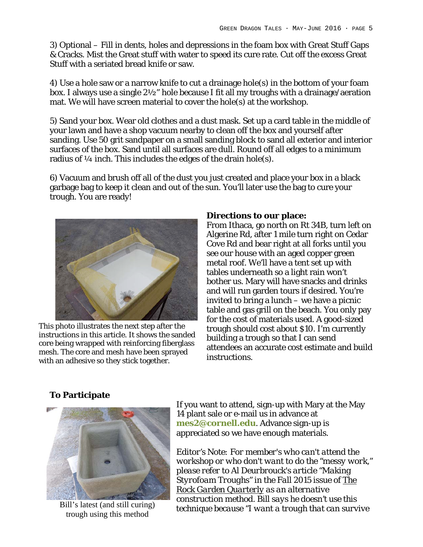3) Optional – Fill in dents, holes and depressions in the foam box with Great Stuff Gaps & Cracks. Mist the Great stuff with water to speed its cure rate. Cut off the excess Great Stuff with a seriated bread knife or saw.

4) Use a hole saw or a narrow knife to cut a drainage hole(s) in the bottom of your foam box. I always use a single 2½" hole because I fit all my troughs with a drainage/aeration mat. We will have screen material to cover the hole(s) at the workshop.

5) Sand your box. Wear old clothes and a dust mask. Set up a card table in the middle of your lawn and have a shop vacuum nearby to clean off the box and yourself after sanding. Use 50 grit sandpaper on a small sanding block to sand all exterior and interior surfaces of the box. Sand until all surfaces are dull. Round off all edges to a minimum radius of 1/4 inch. This includes the edges of the drain hole(s).

6) Vacuum and brush off all of the dust you just created and place your box in a black garbage bag to keep it clean and out of the sun. You'll later use the bag to cure your trough. You are ready!



This photo illustrates the next step after the instructions in this article. It shows the sanded core being wrapped with reinforcing fiberglass mesh. The core and mesh have been sprayed with an adhesive so they stick together.

**Directions to our place:** From Ithaca, go north on Rt 34B, turn left on Algerine Rd, after 1 mile turn right on Cedar Cove Rd and bear right at all forks until you see our house with an aged copper green metal roof. We'll have a tent set up with tables underneath so a light rain won't bother us. Mary will have snacks and drinks and will run garden tours if desired. You're invited to bring a lunch – we have a picnic table and gas grill on the beach. You only pay for the cost of materials used. A good-sized trough should cost about \$10. I'm currently building a trough so that I can send attendees an accurate cost estimate and build instructions.

#### **To Participate**



Bill's latest (and still curing) trough using this method

If you want to attend, sign-up with Mary at the May 14 plant sale or e-mail us in advance at **mes2@cornell.edu**. Advance sign-up is appreciated so we have enough materials.

*Editor's Note: For member's who can't attend the workshop or who don't want to do the "messy work," please refer to Al Deurbrouck's article "Making Styrofoam Troughs" in the Fall 2015 issue of The Rock Garden Quarterly as an alternative construction method. Bill says he doesn't use this technique because "I want a trough that can survive*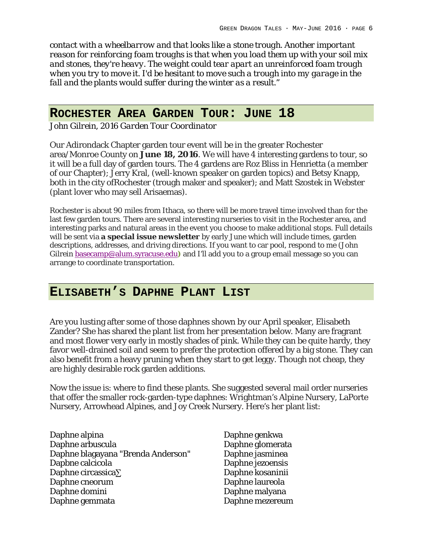*contact with a wheelbarrow and that looks like a stone trough. Another important reason for reinforcing foam troughs is that when you load them up with your soil mix and stones, they're heavy. The weight could tear apart an unreinforced foam trough when you try to move it. I'd be hesitant to move such a trough into my garage in the fall and the plants would suffer during the winter as a result."*

### **ROCHESTER AREA GARDEN TOUR: JUNE 18**

*John Gilrein, 2016 Garden Tour Coordinator*

Our Adirondack Chapter garden tour event will be in the greater Rochester area/Monroe County on **June 18, 2016**. We will have 4 interesting gardens to tour, so it will be a full day of garden tours. The 4 gardens are Roz Bliss in Henrietta (a member of our Chapter); Jerry Kral, (well-known speaker on garden topics) and Betsy Knapp, both in the city ofRochester (trough maker and speaker); and Matt Szostek in Webster (plant lover who may sell Arisaemas).

Rochester is about 90 miles from Ithaca, so there will be more travel time involved than for the last few garden tours. There are several interesting nurseries to visit in the Rochester area, and interesting parks and natural areas in the event you choose to make additional stops. Full details will be sent via **a special issue newsletter** by early June which will include times, garden descriptions, addresses, and driving directions. If you want to car pool, respond to me (John Gilrein basecamp@alum.syracuse.edu**)** and I'll add you to a group email message so you can arrange to coordinate transportation.

## **ELISABETH'S DAPHNE PLANT LIST**

Are you lusting after some of those daphnes shown by our April speaker, Elisabeth Zander? She has shared the plant list from her presentation below. Many are fragrant and most flower very early in mostly shades of pink. While they can be quite hardy, they favor well-drained soil and seem to prefer the protection offered by a big stone. They can also benefit from a heavy pruning when they start to get leggy. Though not cheap, they are highly desirable rock garden additions.

Now the issue is: where to find these plants. She suggested several mail order nurseries that offer the smaller rock-garden-type daphnes: Wrightman's Alpine Nursery, LaPorte Nursery, Arrowhead Alpines, and Joy Creek Nursery. Here's her plant list:

- Daphne alpina Daphne arbuscula Daphne blagayana "Brenda Anderson" Dapbne calcicola Daphne circassica∑ Daphne cneorum Daphne domini Daphne gemmata
- Daphne genkwa Daphne glomerata Daphne jasminea Daphne jezoensis Daphne kosaninii Daphne laureola Daphne malyana Daphne mezereum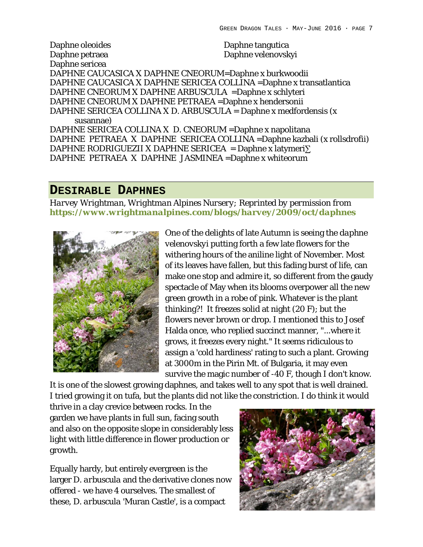Daphne oleoides Daphne petraea Daphne sericea Daphne tangutica Daphne velenovskyi DAPHNE CAUCASICA X DAPHNE CNEORUM=Daphne x burkwoodii DAPHNE CAUCASICA X DAPHNE SERICEA COLLINA =Daphne x transatlantica DAPHNE CNEORUM X DAPHNE ARBUSCULA =Daphne x schlyteri DAPHNE CNEORUM X DAPHNE PETRAEA =Daphne x hendersonii DAPHNE SERICEA COLLINA X D. ARBUSCULA = Daphne x medfordensis (x susannae) DAPHNE SERICEA COLLINA X D. CNEORUM =Daphne x napolitana DAPHNE PETRAEA X DAPHNE SERICEA COLLINA =Daphne kazbali (x rollsdrofii) DAPHNE RODRIGUEZII X DAPHNE SERICEA = Daphne x latymeri∑ DAPHNE PETRAEA X DAPHNE JASMINEA =Daphne x whiteorum

#### **DESIRABLE DAPHNES**

*Harvey Wrightman, Wrightman Alpines Nursery; Reprinted by permission from https://www.wrightmanalpines.com/blogs/harvey/2009/oct/daphnes*



One of the delights of late Autumn is seeing the *daphne velenovskyi* putting forth a few late flowers for the withering hours of the aniline light of November. Most of its leaves have fallen, but this fading burst of life, can make one stop and admire it, so different from the gaudy spectacle of May when its blooms overpower all the new green growth in a robe of pink. Whatever is the plant thinking?! It freezes solid at night (20 F); but the flowers never brown or drop. I mentioned this to Josef Halda once, who replied succinct manner, "...where it grows, it freezes every night." It seems ridiculous to assign a 'cold hardiness' rating to such a plant. Growing at 3000m in the Pirin Mt. of Bulgaria, it may even survive the magic number of -40 F, though I don't know.

It is one of the slowest growing daphnes, and takes well to any spot that is well drained. I tried growing it on tufa, but the plants did not like the constriction. I do think it would

thrive in a clay crevice between rocks. In the garden we have plants in full sun, facing south and also on the opposite slope in considerably less light with little difference in flower production or growth.

Equally hardy, but entirely evergreen is the larger *D. arbuscula* and the derivative clones now offered - we have 4 ourselves. The smallest of these, *D. arbuscula* 'Muran Castle', is a compact

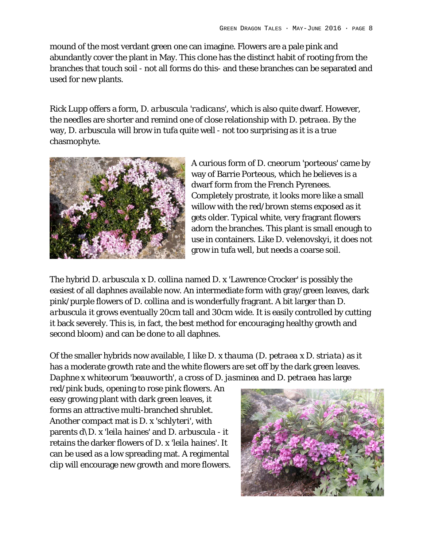mound of the most verdant green one can imagine. Flowers are a pale pink and abundantly cover the plant in May. This clone has the distinct habit of rooting from the branches that touch soil - not all forms do this- and these branches can be separated and used for new plants.

Rick Lupp offers a form, *D. arbuscula 'radicans'*, which is also quite dwarf. However, the needles are shorter and remind one of close relationship with *D. petraea*. By the way, *D. arbuscula* will brow in tufa quite well - not too surprising as it is a true chasmophyte.



A curious form of *D. cneorum* 'porteous' came by way of Barrie Porteous, which he believes is a dwarf form from the French Pyrenees. Completely prostrate, it looks more like a small willow with the red/brown stems exposed as it gets older. Typical white, very fragrant flowers adorn the branches. This plant is small enough to use in containers. Like *D. velenovskyi*, it does not grow in tufa well, but needs a coarse soil.

The hybrid *D. arbuscula x D. collina* named *D. x* 'Lawrence Crocker' is possibly the easiest of all daphnes available now. An intermediate form with gray/green leaves, dark pink/purple flowers of *D. collina* and is wonderfully fragrant. A bit larger than *D. arbuscula* it grows eventually 20cm tall and 30cm wide. It is easily controlled by cutting it back severely. This is, in fact, the best method for encouraging healthy growth and second bloom) and can be done to all daphnes.

Of the smaller hybrids now available, I like *D. x thauma* (*D. petraea x D. striata*) as it has a moderate growth rate and the white flowers are set off by the dark green leaves. *Daphne x whiteorum 'beauworth'*, a cross of *D. jasminea* and *D. petraea* has large

red/pink buds, opening to rose pink flowers. An easy growing plant with dark green leaves, it forms an attractive multi-branched shrublet. Another compact mat is *D. x 'schlyteri'*, with parents *d\D. x 'leila haines'* and *D. arbuscula* - it retains the darker flowers of *D. x 'leila haines'*. It can be used as a low spreading mat. A regimental clip will encourage new growth and more flowers.

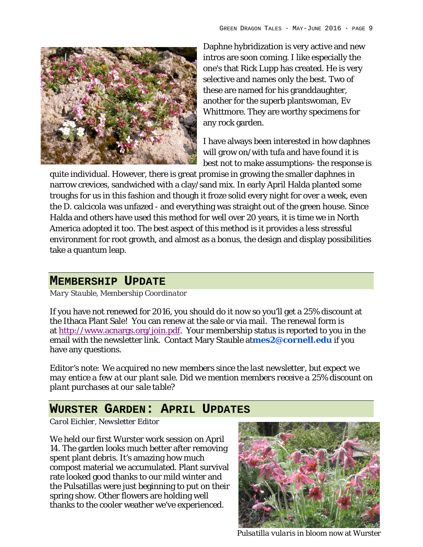

Daphne hybridization is very active and new intros are soon coming. I like especially the one's that Rick Lupp has created. He is very selective and names only the best. Two of these are named for his granddaughter, another for the superb plantswoman, Ev Whittmore. They are worthy specimens for any rock garden.

I have always been interested in how daphnes will grow on/with tufa and have found it is best not to make assumptions- the response is

quite individual. However, there is great promise in growing the smaller daphnes in narrow crevices, sandwiched with a clay/sand mix. In early April Halda planted some troughs for us in this fashion and though it froze solid every night for over a week, even the *D. calcicola* was unfazed - and everything was straight out of the green house. Since Halda and others have used this method for well over 20 years, it is time we in North America adopted it too. The best aspect of this method is it provides a less stressful environment for root growth, and almost as a bonus, the design and display possibilities take a quantum leap.

## **MEMBERSHIP UPDATE**

*Mary Stauble, Membership Coordinator*

If you have not renewed for 2016, you should do it now so you'll get a 25% discount at the Ithaca Plant Sale! You can renew at the sale or via mail. The renewal form is at http://www.acnargs.org/join.pdf. Your membership status is reported to you in the email with the newsletter link. Contact Mary Stauble at**mes2@cornell.edu** if you have any questions.

*Editor's note: We acquired no new members since the last newsletter, but expect we may entice a few at our plant sale. Did we mention members receive a 25% discount on plant purchases at our sale table?*

## **WURSTER GARDEN: APRIL UPDATES**

*Carol Eichler, Newsletter Editor*

We held our first Wurster work session on April 14. The garden looks much better after removing spent plant debris. It's amazing how much compost material we accumulated. Plant survival rate looked good thanks to our mild winter and the Pulsatillas were just beginning to put on their spring show. Other flowers are holding well thanks to the cooler weather we've experienced.



*Pulsatilla vularis* in bloom now at Wurster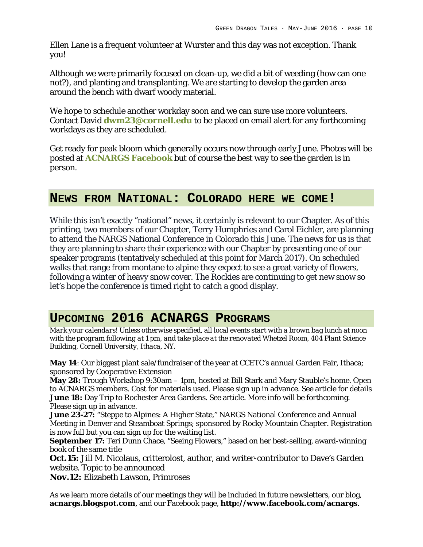Ellen Lane is a frequent volunteer at Wurster and this day was not exception. Thank you!

Although we were primarily focused on clean-up, we did a bit of weeding (how can one not?), and planting and transplanting. We are starting to develop the garden area around the bench with dwarf woody material.

We hope to schedule another workday soon and we can sure use more volunteers. Contact David **dwm23@cornell.edu** to be placed on email alert for any forthcoming workdays as they are scheduled.

Get ready for peak bloom which generally occurs now through early June. Photos will be posted at **ACNARGS Facebook** but of course the best way to see the garden is in person.

#### **NEWS FROM NATIONAL: COLORADO HERE WE COME!**

While this isn't exactly "national" news, it certainly is relevant to our Chapter. As of this printing, two members of our Chapter, Terry Humphries and Carol Eichler, are planning to attend the NARGS National Conference in Colorado this June. The news for us is that they are planning to share their experience with our Chapter by presenting one of our speaker programs (tentatively scheduled at this point for March 2017). On scheduled walks that range from montane to alpine they expect to see a great variety of flowers, following a winter of heavy snow cover. The Rockies are continuing to get new snow so let's hope the conference is timed right to catch a good display.

## **UPCOMING 2016 ACNARGS PROGRAMS**

*Mark your calendars! Unless otherwise specified, all local events start with a brown bag lunch at noon with the program following at 1 pm, and take place at the renovated Whetzel Room, 404 Plant Science Building, Cornell University, Ithaca, NY.*

**May 14**: Our biggest plant sale/fundraiser of the year at CCETC's annual Garden Fair, Ithaca; sponsored by Cooperative Extension

**May 28:** Trough Workshop 9:30am – 1pm, hosted at Bill Stark and Mary Stauble's home. Open to ACNARGS members. Cost for materials used. Please sign up in advance. See article for details **June 18:** Day Trip to Rochester Area Gardens. See article. More info will be forthcoming. Please sign up in advance.

**June 23-27:** "Steppe to Alpines: A Higher State," NARGS National Conference and Annual Meeting in Denver and Steamboat Springs; sponsored by Rocky Mountain Chapter. Registration is now full but you can sign up for the waiting list.

**September 17:** Teri Dunn Chace, "Seeing Flowers," based on her best-selling, award-winning book of the same title

**Oct.15:** Jill M. Nicolaus, critterolost, author, and writer-contributor to Dave's Garden website. Topic to be announced

**Nov.12:** Elizabeth Lawson, Primroses

As we learn more details of our meetings they will be included in future newsletters, our blog, **acnargs.blogspot.com**, and our Facebook page, **http://www.facebook.com/acnargs**.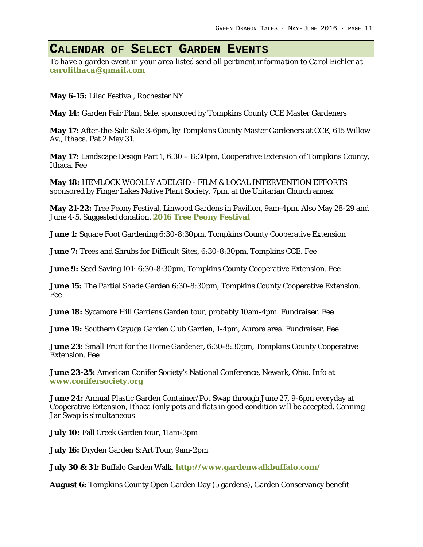# **CALENDAR OF SELECT GARDEN EVENTS**

*To have a garden event in your area listed send all pertinent information to Carol Eichler at carolithaca@gmail.com*

**May 6-15:** Lilac Festival, Rochester NY

**May 14:** Garden Fair Plant Sale, sponsored by Tompkins County CCE Master Gardeners

**May 17:** After-the-Sale Sale 3-6pm, by Tompkins County Master Gardeners at CCE, 615 Willow Av., Ithaca. Pat 2 May 31.

**May 17:** Landscape Design Part 1, 6:30 – 8:30pm, Cooperative Extension of Tompkins County, Ithaca. Fee

**May 18:** HEMLOCK WOOLLY ADELGID - FILM & LOCAL INTERVENTION EFFORTS sponsored by Finger Lakes Native Plant Society, 7pm. at the Unitarian Church annex

**May 21-22:** Tree Peony Festival, Linwood Gardens in Pavilion, 9am-4pm. Also May 28-29 and June 4-5. Suggested donation. **2016 Tree Peony Festival**

**June 1:** Square Foot Gardening 6:30-8:30pm, Tompkins County Cooperative Extension

**June 7:** Trees and Shrubs for Difficult Sites, 6:30-8:30pm, Tompkins CCE. Fee

**June 9:** Seed Saving 101: 6:30-8:30pm, Tompkins County Cooperative Extension. Fee

**June 15:** The Partial Shade Garden 6:30-8:30pm, Tompkins County Cooperative Extension. Fee

**June 18:** Sycamore Hill Gardens Garden tour, probably 10am-4pm. Fundraiser. Fee

**June 19:** Southern Cayuga Garden Club Garden, 1-4pm, Aurora area. Fundraiser. Fee

**June 23:** Small Fruit for the Home Gardener, 6:30-8:30pm, Tompkins County Cooperative Extension. Fee

**June 23-25:** American Conifer Society's National Conference, Newark, Ohio. Info at **www.conifersociety.org**

**June 24:** Annual Plastic Garden Container/Pot Swap through June 27, 9-6pm everyday at Cooperative Extension, Ithaca (only pots and flats in good condition will be accepted. Canning Jar Swap is simultaneous

**July 10:** Fall Creek Garden tour, 11am-3pm

**July 16:** Dryden Garden & Art Tour, 9am-2pm

**July 30 & 31:** Buffalo Garden Walk, **http://www.gardenwalkbuffalo.com/**

**August 6:** Tompkins County Open Garden Day (5 gardens), Garden Conservancy benefit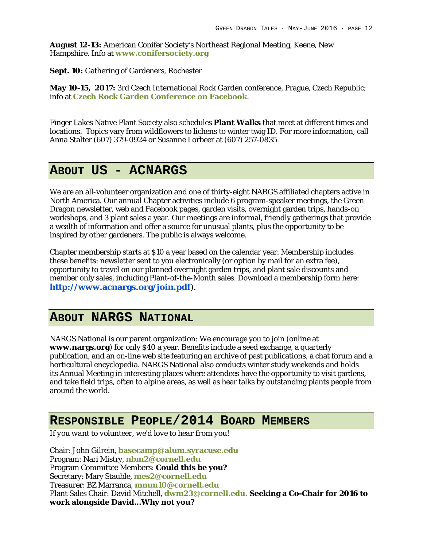**August 12-13:** American Conifer Society's Northeast Regional Meeting, Keene, New Hampshire. Info at **www.conifersociety.org**

**Sept. 10:** Gathering of Gardeners, Rochester

**May 10-15, 2017:** 3rd Czech International Rock Garden conference, Prague, Czech Republic; info at **Czech Rock Garden Conference on Facebook**.

Finger Lakes Native Plant Society also schedules **Plant Walks** that meet at different times and locations. Topics vary from wildflowers to lichens to winter twig ID. For more information, call Anna Stalter (607) 379-0924 or Susanne Lorbeer at (607) 257-0835

#### **ABOUT US - ACNARGS**

We are an all-volunteer organization and one of thirty-eight NARGS affiliated chapters active in North America. Our annual Chapter activities include 6 program-speaker meetings, the Green Dragon newsletter, web and Facebook pages, garden visits, overnight garden trips, hands-on workshops, and 3 plant sales a year. Our meetings are informal, friendly gatherings that provide a wealth of information and offer a source for unusual plants, plus the opportunity to be inspired by other gardeners. The public is always welcome.

Chapter membership starts at \$10 a year based on the calendar year. Membership includes these benefits: newsletter sent to you electronically (or option by mail for an extra fee), opportunity to travel on our planned overnight garden trips, and plant sale discounts and member only sales, including Plant-of-the-Month sales. Download a membership form here: **http://www.acnargs.org/join.pdf**).

#### **ABOUT NARGS NATIONAL**

NARGS National is our parent organization: We encourage you to join (online at **www.nargs.org**) for only \$40 a year. Benefits include a seed exchange, a quarterly publication, and an on-line web site featuring an archive of past publications, a chat forum and a horticultural encyclopedia. NARGS National also conducts winter study weekends and holds its Annual Meeting in interesting places where attendees have the opportunity to visit gardens, and take field trips, often to alpine areas, as well as hear talks by outstanding plants people from around the world.

## **RESPONSIBLE PEOPLE/2014 BOARD MEMBERS**

*If you want to volunteer, we'd love to hear from you!*

Chair: John Gilrein, **basecamp@alum.syracuse.edu** Program: Nari Mistry, **nbm2@cornell.edu** Program Committee Members: **Could this be you?** Secretary: Mary Stauble, **mes2@cornell.edu** Treasurer: BZ Marranca, **mmm10@cornell.edu** Plant Sales Chair: David Mitchell, **dwm23@cornell.edu. Seeking a Co-Chair for 2016 to work alongside David…Why not you?**